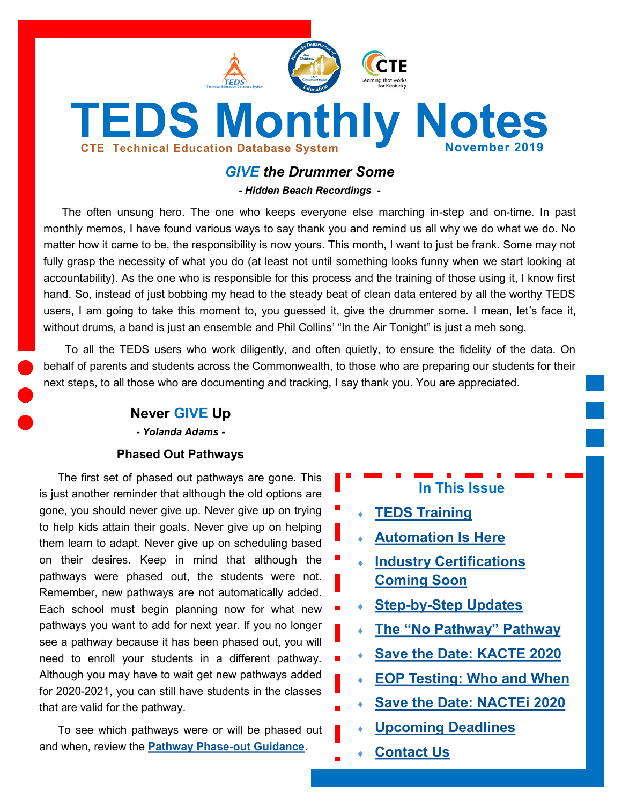

## *GIVE the Drummer Some*

*- Hidden Beach Recordings -*

The often unsung hero. The one who keeps everyone else marching in-step and on-time. In past monthly memos, I have found various ways to say thank you and remind us all why we do what we do. No matter how it came to be, the responsibility is now yours. This month, I want to just be frank. Some may not fully grasp the necessity of what you do (at least not until something looks funny when we start looking at accountability). As the one who is responsible for this process and the training of those using it, I know first hand. So, instead of just bobbing my head to the steady beat of clean data entered by all the worthy TEDS users, I am going to take this moment to, you guessed it, give the drummer some. I mean, let's face it, without drums, a band is just an ensemble and Phil Collins' "In the Air Tonight" is just a meh song.

To all the TEDS users who work diligently, and often quietly, to ensure the fidelity of the data. On behalf of parents and students across the Commonwealth, to those who are preparing our students for their next steps, to all those who are documenting and tracking, I say thank you. You are appreciated.

#### **Never GIVE Up**

*- Yolanda Adams -*

#### **Phased Out Pathways**

The first set of phased out pathways are gone. This is just another reminder that although the old options are gone, you should never give up. Never give up on trying to help kids attain their goals. Never give up on helping them learn to adapt. Never give up on scheduling based on their desires. Keep in mind that although the pathways were phased out, the students were not. Remember, new pathways are not automatically added. Each school must begin planning now for what new pathways you want to add for next year. If you no longer see a pathway because it has been phased out, you will need to enroll your students in a different pathway. Although you may have to wait get new pathways added for 2020-2021, you can still have students in the classes that are valid for the pathway.

To see which pathways were or will be phased out and when, review the **[Pathway Phase](https://education.ky.gov/CTE/ctepa/Documents/Pathway_Phaseout_Guidance.pdf)-out Guidance**.

# **In This Issue**

- **[TEDS Training](#page-1-0)**
- **[Automation Is Here](#page-1-0)**
- **[Industry Certifications](#page-2-0)  [Coming Soon](#page-2-0)**
- **Step-by-[Step Updates](#page-2-0)**
- **The "[No Pathway](#page-3-0)" Pathway**
- **[Save the Date: KACTE 2020](#page-3-0)**
- **[EOP Testing: Who and When](#page-4-0)**
- **[Save the Date: NACTEi 2020](#page-4-0)**
- **[Upcoming Deadlines](#page-5-0)**
- **[Contact Us](#page-5-0)**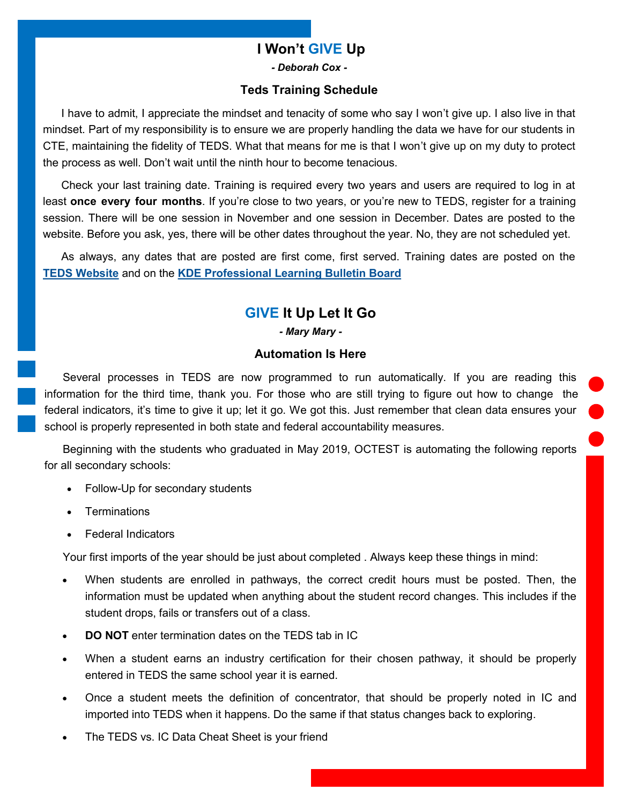## **I Won't GIVE Up**

*- Deborah Cox -*

#### **Teds Training Schedule**

<span id="page-1-0"></span>I have to admit, I appreciate the mindset and tenacity of some who say I won't give up. I also live in that mindset. Part of my responsibility is to ensure we are properly handling the data we have for our students in CTE, maintaining the fidelity of TEDS. What that means for me is that I won't give up on my duty to protect the process as well. Don't wait until the ninth hour to become tenacious.

Check your last training date. Training is required every two years and users are required to log in at least **once every four months**. If you're close to two years, or you're new to TEDS, register for a training session. There will be one session in November and one session in December. Dates are posted to the website. Before you ask, yes, there will be other dates throughout the year. No, they are not scheduled yet.

As always, any dates that are posted are first come, first served. Training dates are posted on the **[TEDS Website](https://education.ky.gov/CTE/teds/Pages/default.aspx)** and on the **[KDE Professional Learning Bulletin Board](https://applications.education.ky.gov/PLBB/Home/PLBBHome)**

## **GIVE It Up Let It Go**

*- Mary Mary -*

#### **Automation Is Here**

Several processes in TEDS are now programmed to run automatically. If you are reading this information for the third time, thank you. For those who are still trying to figure out how to change the federal indicators, it's time to give it up; let it go. We got this. Just remember that clean data ensures your school is properly represented in both state and federal accountability measures.

Beginning with the students who graduated in May 2019, OCTEST is automating the following reports for all secondary schools:

- Follow-Up for secondary students
- **Terminations**
- Federal Indicators

Your first imports of the year should be just about completed . Always keep these things in mind:

- When students are enrolled in pathways, the correct credit hours must be posted. Then, the information must be updated when anything about the student record changes. This includes if the student drops, fails or transfers out of a class.
- **DO NOT** enter termination dates on the TEDS tab in IC
- When a student earns an industry certification for their chosen pathway, it should be properly entered in TEDS the same school year it is earned.
- Once a student meets the definition of concentrator, that should be properly noted in IC and imported into TEDS when it happens. Do the same if that status changes back to exploring.
- The TEDS vs. IC Data Cheat Sheet is your friend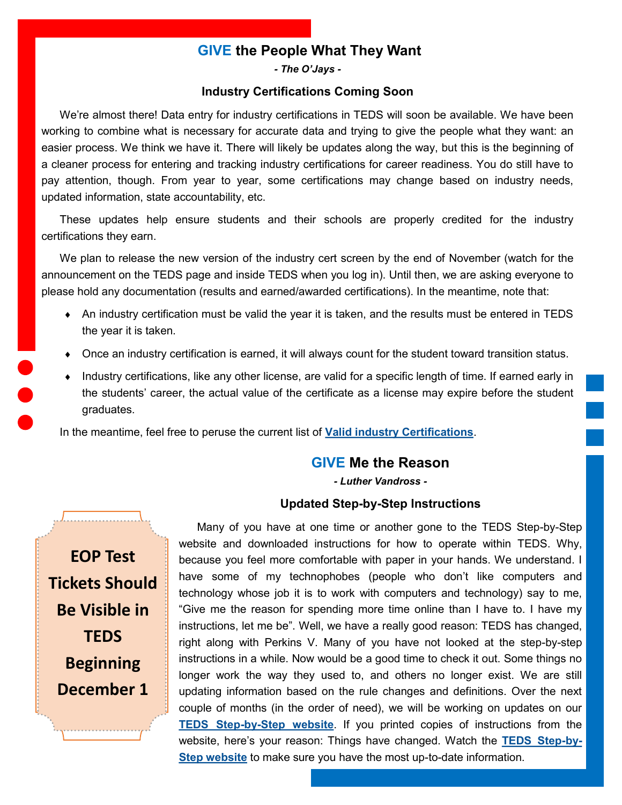## **GIVE the People What They Want**

*- The O'Jays -*

#### **Industry Certifications Coming Soon**

<span id="page-2-0"></span>We're almost there! Data entry for industry certifications in TEDS will soon be available. We have been working to combine what is necessary for accurate data and trying to give the people what they want: an easier process. We think we have it. There will likely be updates along the way, but this is the beginning of a cleaner process for entering and tracking industry certifications for career readiness. You do still have to pay attention, though. From year to year, some certifications may change based on industry needs, updated information, state accountability, etc.

These updates help ensure students and their schools are properly credited for the industry certifications they earn.

We plan to release the new version of the industry cert screen by the end of November (watch for the announcement on the TEDS page and inside TEDS when you log in). Until then, we are asking everyone to please hold any documentation (results and earned/awarded certifications). In the meantime, note that:

- An industry certification must be valid the year it is taken, and the results must be entered in TEDS the year it is taken.
- Once an industry certification is earned, it will always count for the student toward transition status.
- Industry certifications, like any other license, are valid for a specific length of time. If earned early in the students' career, the actual value of the certificate as a license may expire before the student graduates.

In the meantime, feel free to peruse the current list of **[Valid industry Certifications](https://education.ky.gov/CTE/endofprog/Documents/19-20_Valid_Industry_Certification.xlsx)**.

## **GIVE Me the Reason**

*- Luther Vandross -*

#### **Updated Step-by-Step Instructions**

**EOP Test Tickets Should Be Visible in TEDS Beginning December 1**

Many of you have at one time or another gone to the TEDS Step-by-Step website and downloaded instructions for how to operate within TEDS. Why, because you feel more comfortable with paper in your hands. We understand. I have some of my technophobes (people who don't like computers and technology whose job it is to work with computers and technology) say to me, "Give me the reason for spending more time online than I have to. I have my instructions, let me be". Well, we have a really good reason: TEDS has changed, right along with Perkins V. Many of you have not looked at the step-by-step instructions in a while. Now would be a good time to check it out. Some things no longer work the way they used to, and others no longer exist. We are still updating information based on the rule changes and definitions. Over the next couple of months (in the order of need), we will be working on updates on our **TEDS Step-by-[Step website](https://education.ky.gov/CTE/teds/Pages/TEDSStepbyStep.aspx)**. If you printed copies of instructions from the website, here's your reason: Things have changed. Watch the **[TEDS Step](https://education.ky.gov/CTE/teds/Pages/TEDSStepbyStep.aspx)-by-[Step website](https://education.ky.gov/CTE/teds/Pages/TEDSStepbyStep.aspx)** to make sure you have the most up-to-date information.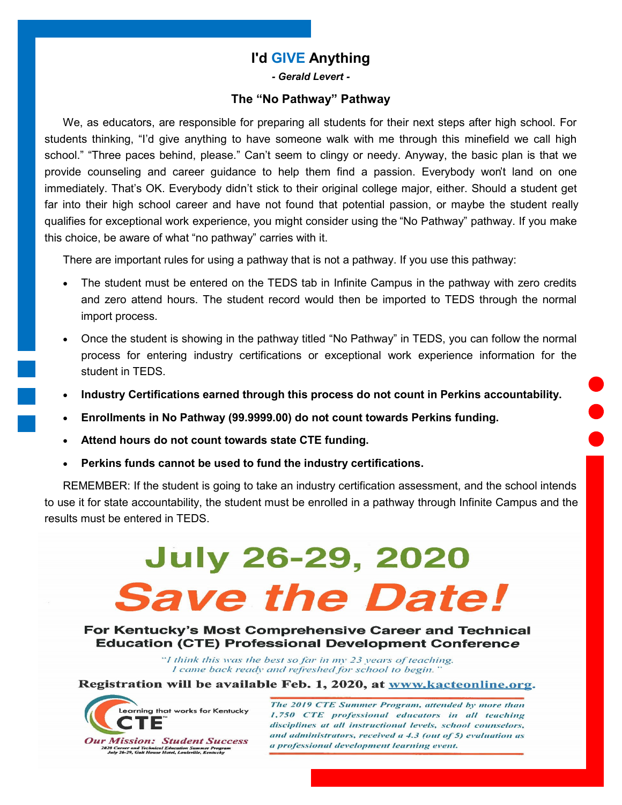## **I'd GIVE Anything**

*- Gerald Levert -*

#### **The "No Pathway" Pathway**

<span id="page-3-0"></span>We, as educators, are responsible for preparing all students for their next steps after high school. For students thinking, "I'd give anything to have someone walk with me through this minefield we call high school." "Three paces behind, please." Can't seem to clingy or needy. Anyway, the basic plan is that we provide counseling and career guidance to help them find a passion. Everybody won't land on one immediately. That's OK. Everybody didn't stick to their original college major, either. Should a student get far into their high school career and have not found that potential passion, or maybe the student really qualifies for exceptional work experience, you might consider using the "No Pathway" pathway. If you make this choice, be aware of what "no pathway" carries with it.

There are important rules for using a pathway that is not a pathway. If you use this pathway:

- The student must be entered on the TEDS tab in Infinite Campus in the pathway with zero credits and zero attend hours. The student record would then be imported to TEDS through the normal import process.
- Once the student is showing in the pathway titled "No Pathway" in TEDS, you can follow the normal process for entering industry certifications or exceptional work experience information for the student in TEDS.
- **Industry Certifications earned through this process do not count in Perkins accountability.**
- **Enrollments in No Pathway (99.9999.00) do not count towards Perkins funding.**
- **Attend hours do not count towards state CTE funding.**
- **Perkins funds cannot be used to fund the industry certifications.**

REMEMBER: If the student is going to take an industry certification assessment, and the school intends to use it for state accountability, the student must be enrolled in a pathway through Infinite Campus and the results must be entered in TEDS.

# **July 26-29, 2020 Save the Date!**

For Kentucky's Most Comprehensive Career and Technical **Education (CTE) Professional Development Conference** 

> "I think this was the best so far in my 23 years of teaching. I came back ready and refreshed for school to begin.'

Registration will be available Feb. 1, 2020, at www.kacteonline.org.



The 2019 CTE Summer Program, attended by more than 1,750 CTE professional educators in all teaching disciplines at all instructional levels, school counselors, and administrators, received  $a$  4.3 (out of 5) evaluation as a professional development learning event.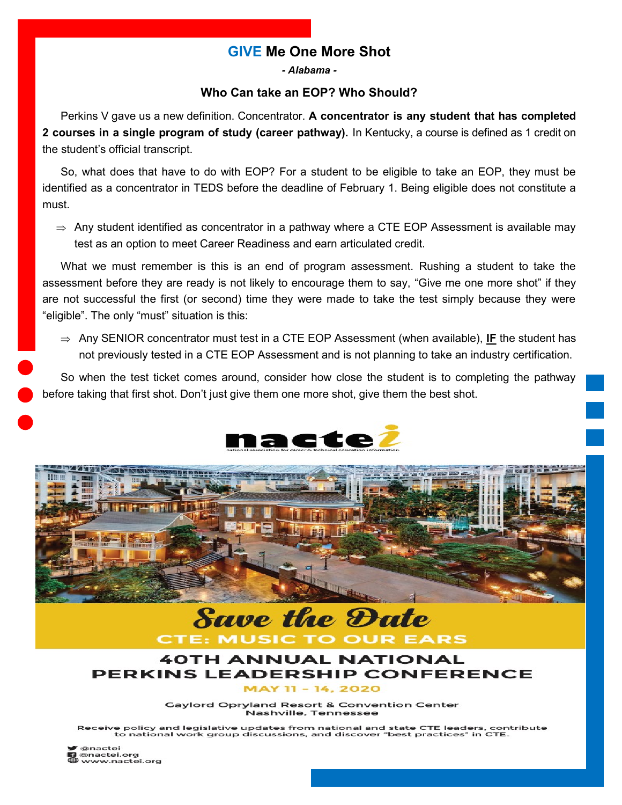## **GIVE Me One More Shot**

*- Alabama -*

## **Who Can take an EOP? Who Should?**

<span id="page-4-0"></span>Perkins V gave us a new definition. Concentrator. **A concentrator is any student that has completed 2 courses in a single program of study (career pathway).** In Kentucky, a course is defined as 1 credit on the student's official transcript.

So, what does that have to do with EOP? For a student to be eligible to take an EOP, they must be identified as a concentrator in TEDS before the deadline of February 1. Being eligible does not constitute a must.

 $\Rightarrow$  Any student identified as concentrator in a pathway where a CTE EOP Assessment is available may test as an option to meet Career Readiness and earn articulated credit.

What we must remember is this is an end of program assessment. Rushing a student to take the assessment before they are ready is not likely to encourage them to say, "Give me one more shot" if they are not successful the first (or second) time they were made to take the test simply because they were "eligible". The only "must" situation is this:

 $\Rightarrow$  Any SENIOR concentrator must test in a CTE EOP Assessment (when available), IF the student has not previously tested in a CTE EOP Assessment and is not planning to take an industry certification.

So when the test ticket comes around, consider how close the student is to completing the pathway before taking that first shot. Don't just give them one more shot, give them the best shot.





#### 40TH ANNUAL NATIONAL **EADERSHIP CONFERENCE PERKINS**

EARS

**CTE: MUSIC TO OUR** 

11 - 14, 2020

**Gaylord Opryland Resort & Convention Center** Nashville, Tennessee

Receive policy and legislative updates from national and state CTE leaders, contribute to national work group discussions, and discover "best practices" in CTE.

@nactei<br>@nactei.org www.nactei.org